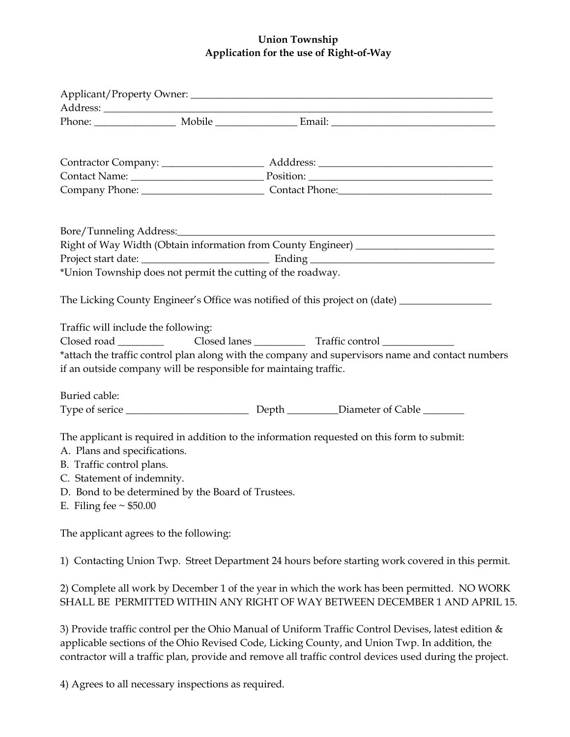## **Union Township Application for the use of Right-of-Way**

|                                                    | Right of Way Width (Obtain information from County Engineer) ___________________                                                                                            |  |
|----------------------------------------------------|-----------------------------------------------------------------------------------------------------------------------------------------------------------------------------|--|
|                                                    |                                                                                                                                                                             |  |
|                                                    | *Union Township does not permit the cutting of the roadway.                                                                                                                 |  |
|                                                    | The Licking County Engineer's Office was notified of this project on (date) ________________________                                                                        |  |
| Traffic will include the following:                |                                                                                                                                                                             |  |
|                                                    |                                                                                                                                                                             |  |
|                                                    | *attach the traffic control plan along with the company and supervisors name and contact numbers<br>if an outside company will be responsible for maintaing traffic.        |  |
| Buried cable:                                      |                                                                                                                                                                             |  |
|                                                    |                                                                                                                                                                             |  |
| A. Plans and specifications.                       | The applicant is required in addition to the information requested on this form to submit:                                                                                  |  |
| B. Traffic control plans.                          |                                                                                                                                                                             |  |
| C. Statement of indemnity.                         |                                                                                                                                                                             |  |
| D. Bond to be determined by the Board of Trustees. |                                                                                                                                                                             |  |
| E. Filing fee $\sim$ \$50.00                       |                                                                                                                                                                             |  |
| The applicant agrees to the following:             |                                                                                                                                                                             |  |
|                                                    | 1) Contacting Union Twp. Street Department 24 hours before starting work covered in this permit.                                                                            |  |
|                                                    | 2) Complete all work by December 1 of the year in which the work has been permitted. NO WORK<br>SHALL BE PERMITTED WITHIN ANY RIGHT OF WAY BETWEEN DECEMBER 1 AND APRIL 15. |  |

3) Provide traffic control per the Ohio Manual of Uniform Traffic Control Devises, latest edition & applicable sections of the Ohio Revised Code, Licking County, and Union Twp. In addition, the contractor will a traffic plan, provide and remove all traffic control devices used during the project.

4) Agrees to all necessary inspections as required.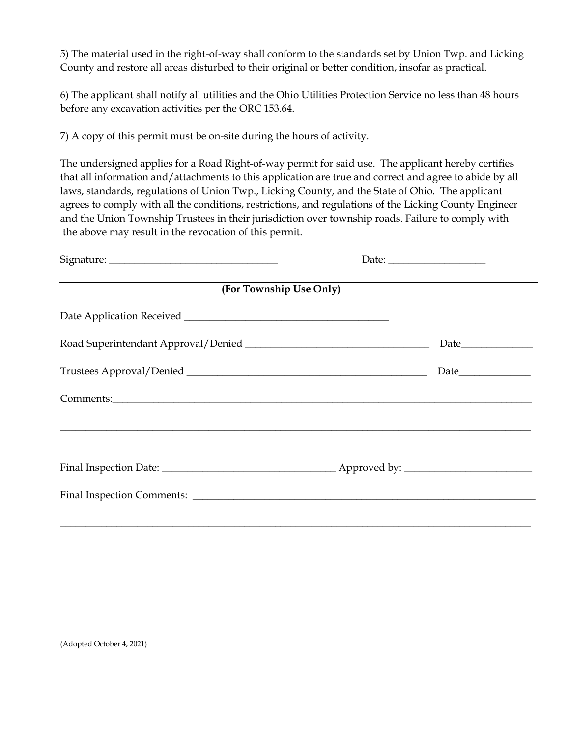5) The material used in the right-of-way shall conform to the standards set by Union Twp. and Licking County and restore all areas disturbed to their original or better condition, insofar as practical.

6) The applicant shall notify all utilities and the Ohio Utilities Protection Service no less than 48 hours before any excavation activities per the ORC 153.64.

7) A copy of this permit must be on-site during the hours of activity.

The undersigned applies for a Road Right-of-way permit for said use. The applicant hereby certifies that all information and/attachments to this application are true and correct and agree to abide by all laws, standards, regulations of Union Twp., Licking County, and the State of Ohio. The applicant agrees to comply with all the conditions, restrictions, and regulations of the Licking County Engineer and the Union Township Trustees in their jurisdiction over township roads. Failure to comply with the above may result in the revocation of this permit.

| (For Township Use Only) |  |
|-------------------------|--|
|                         |  |
|                         |  |
|                         |  |
|                         |  |
|                         |  |
|                         |  |
|                         |  |
|                         |  |